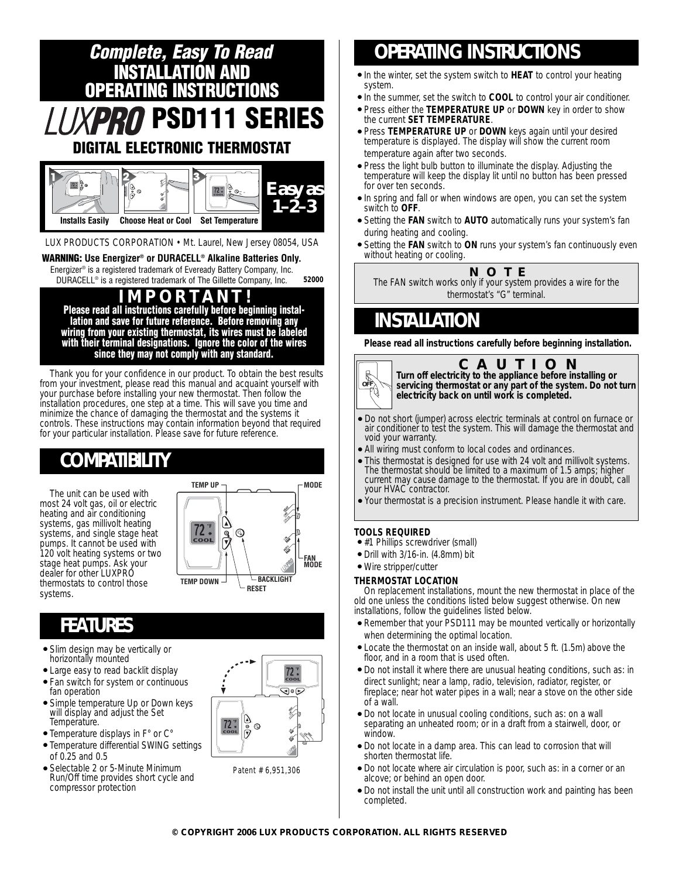

Thank you for your confidence in our product. To obtain the best results from your investment, please read this manual and acquaint yourself with your purchase before installing your new thermostat. Then follow the installation procedures, one step at a time. This will save you time and minimize the chance of damaging the thermostat and the systems it controls. These instructions may contain information beyond that required for your particular installation. Please save for future reference.

# **COMPATIBILITY**

The unit can be used with most 24 volt gas, oil or electric heating and air conditioning systems, gas millivolt heating systems, and single stage heat pumps. It cannot be used with 120 volt heating systems or two stage heat pumps. Ask your dealer for other LUXPRO thermostats to control those systems.



### **FEATURES**

- Slim design may be vertically or horizontally mounted
- Large easy to read backlit display
- Fan switch for system or continuous fan operation
- Simple temperature Up or Down keys will display and adjust the Set Temperature.
- Temperature displays in F° or C°
- Temperature differential SWING settings of 0.25 and 0.5
- Selectable 2 or 5-Minute Minimum Run/Off time provides short cycle and compressor protection



Patent # 6,951,306

# **OPERATING INSTRUCTIONS**

- In the winter, set the system switch to **HEAT** to control your heating system.
- In the summer, set the switch to **COOL** to control your air conditioner.
- Press either the **TEMPERATURE UP** or **DOWN** key in order to show the current **SET TEMPERATURE**.
- Press **TEMPERATURE UP** or **DOWN** keys again until your desired temperature is displayed. The display will show the current room temperature again after two seconds.
- Press the light bulb button to illuminate the display. Adjusting the temperature will keep the display lit until no button has been pressed for over ten seconds.
- In spring and fall or when windows are open, you can set the system switch to **OFF**.
- Setting the **FAN** switch to **AUTO** automatically runs your system's fan during heating and cooling.
- Setting the **FAN** switch to **ON** runs your system's fan continuously even without heating or cooling.

**NOTE**

*The FAN switch works only if your system provides a wire for the thermostat's "G" terminal.*

### **INSTALLATION**

**Please read all instructions carefully before beginning installation.**



**CAUTION**

**Turn off electricity to the appliance before installing or servicing thermostat or any part of the system. Do not turn electricity back on until work is completed.**

- Do not short (jumper) across electric terminals at control on furnace or air conditioner to test the system. This will damage the thermostat and void your warranty.
- All wiring must conform to local codes and ordinances.
- This thermostat is designed for use with 24 volt and millivolt systems. The thermostat should be limited to a maximum of 1.5 amps; higher current may cause damage to the thermostat. If you are in doubt, call your HVAC contractor.
- Your thermostat is a precision instrument. Please handle it with care.

#### **TOOLS REQUIRED**

- #1 Phillips screwdriver (small)
- Drill with 3/16-in. (4.8mm) bit
- Wire stripper/cutter

#### **THERMOSTAT LOCATION**

On replacement installations, mount the new thermostat in place of the old one unless the conditions listed below suggest otherwise. On new installations, follow the guidelines listed below.

- Remember that your PSD111 may be mounted vertically or horizontally when determining the optimal location.
- Locate the thermostat on an inside wall, about 5 ft. (1.5m) above the floor, and in a room that is used often.
- Do not install it where there are unusual heating conditions, such as: in direct sunlight; near a lamp, radio, television, radiator, register, or fireplace; near hot water pipes in a wall; near a stove on the other side of a wall.
- Do not locate in unusual cooling conditions, such as: on a wall separating an unheated room; or in a draft from a stairwell, door, or window.
- Do not locate in a damp area. This can lead to corrosion that will shorten thermostat life.
- Do not locate where air circulation is poor, such as: in a corner or an alcove; or behind an open door.
- Do not install the unit until all construction work and painting has been completed.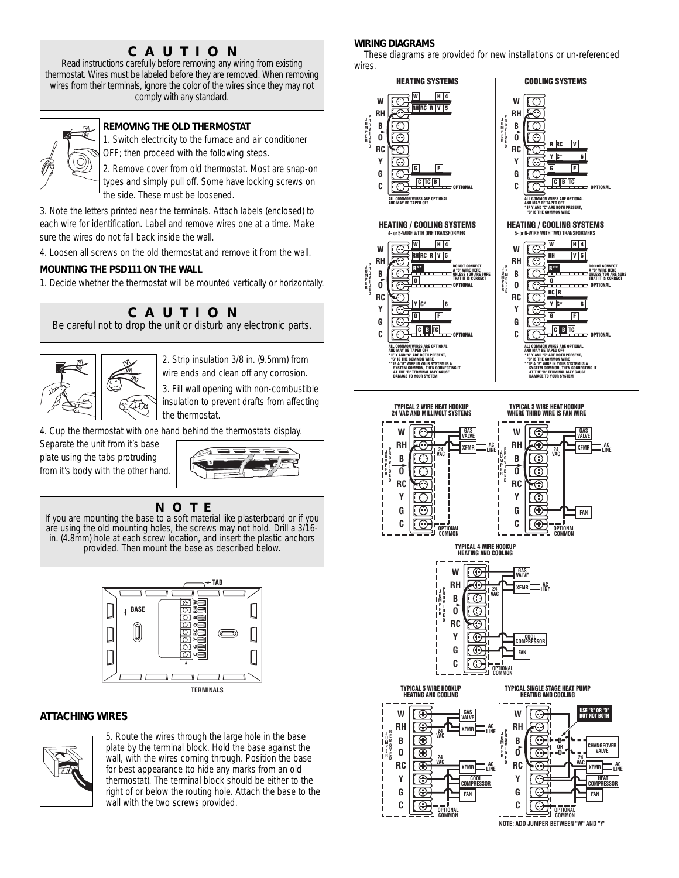### **CAUTION**

*Read instructions carefully before removing any wiring from existing thermostat. Wires must be labeled before they are removed. When removing wires from their terminals, ignore the color of the wires since they may not comply with any standard.*



#### **REMOVING THE OLD THERMOSTAT**

1. Switch electricity to the furnace and air conditioner OFF; then proceed with the following steps.

2. Remove cover from old thermostat. Most are snap-on types and simply pull off. Some have locking screws on the side. These must be loosened.

3. Note the letters printed near the terminals. Attach labels (enclosed) to each wire for identification. Label and remove wires one at a time. Make sure the wires do not fall back inside the wall.

4. Loosen all screws on the old thermostat and remove it from the wall.

#### **MOUNTING THE PSD111 ON THE WALL**

1. Decide whether the thermostat will be mounted vertically or horizontally.



2. Strip insulation 3/8 in. (9.5mm) from wire ends and clean off any corrosion.

3. Fill wall opening with non-combustible insulation to prevent drafts from affecting

4. Cup the thermostat with one hand behind the thermostats display.

Separate the unit from it's base plate using the tabs protruding from it's body with the other hand.



**NOTE** *If you are mounting the base to a soft material like plasterboard or if you are using the old mounting holes, the screws may not hold. Drill a 3/16 in. (4.8mm) hole at each screw location, and insert the plastic anchors provided. Then mount the base as described below.*



### **ATTACHING WIRES**



5. Route the wires through the large hole in the base plate by the terminal block. Hold the base against the wall, with the wires coming through. Position the base for best appearance (to hide any marks from an old thermostat). The terminal block should be either to the right of or below the routing hole. Attach the base to the wall with the two screws provided.

#### **WIRING DIAGRAMS**

These diagrams are provided for new installations or un-referenced wires.